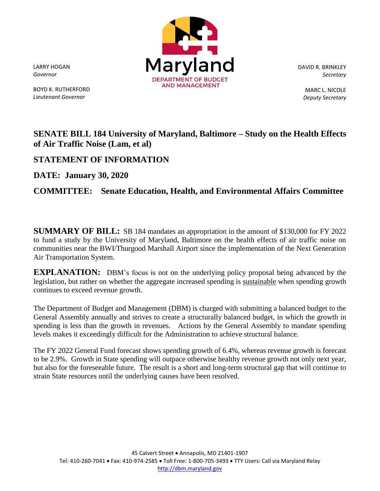LARRY HOGAN *Governor*

BOYD K. RUTHERFORD *Lieutenant Governor*



DAVID R. BRINKLEY *Secretary*

> MARC L. NICOLE *Deputy Secretary*

## **SENATE BILL 184 University of Maryland, Baltimore – Study on the Health Effects of Air Traffic Noise (Lam, et al)**

## **STATEMENT OF INFORMATION**

**DATE: January 30, 2020**

## **COMMITTEE: Senate Education, Health, and Environmental Affairs Committee**

**SUMMARY OF BILL:** SB 184 mandates an appropriation in the amount of \$130,000 for FY 2022 to fund a study by the University of Maryland, Baltimore on the health effects of air traffic noise on communities near the BWI/Thurgood Marshall Airport since the implementation of the Next Generation Air Transportation System.

**EXPLANATION:** DBM's focus is not on the underlying policy proposal being advanced by the legislation, but rather on whether the aggregate increased spending is sustainable when spending growth continues to exceed revenue growth.

The Department of Budget and Management (DBM) is charged with submitting a balanced budget to the General Assembly annually and strives to create a structurally balanced budget, in which the growth in spending is less than the growth in revenues. Actions by the General Assembly to mandate spending levels makes it exceedingly difficult for the Administration to achieve structural balance.

The FY 2022 General Fund forecast shows spending growth of 6.4%, whereas revenue growth is forecast to be 2.9%. Growth in State spending will outpace otherwise healthy revenue growth not only next year, but also for the foreseeable future. The result is a short and long-term structural gap that will continue to strain State resources until the underlying causes have been resolved.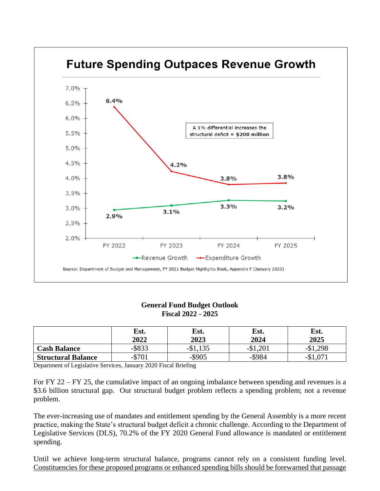

## **General Fund Budget Outlook Fiscal 2022 - 2025**

|                           | Est.<br>2022 | Est.<br>2023 | Est.<br>2024 | Est.<br>2025 |
|---------------------------|--------------|--------------|--------------|--------------|
| <b>Cash Balance</b>       | $-$ \$833    | $-$1,135$    | $-$1,201$    | $-$1,298$    |
| <b>Structural Balance</b> | $-$ \$701    | $-$ \$905    | $-$ \$984    | $-$1,071$    |

Department of Legislative Services, January 2020 Fiscal Briefing

For FY 22 – FY 25, the cumulative impact of an ongoing imbalance between spending and revenues is a \$3.6 billion structural gap. Our structural budget problem reflects a spending problem; not a revenue problem.

The ever-increasing use of mandates and entitlement spending by the General Assembly is a more recent practice, making the State's structural budget deficit a chronic challenge. According to the Department of Legislative Services (DLS), 70.2% of the FY 2020 General Fund allowance is mandated or entitlement spending.

Until we achieve long-term structural balance, programs cannot rely on a consistent funding level. Constituencies for these proposed programs or enhanced spending bills should be forewarned that passage